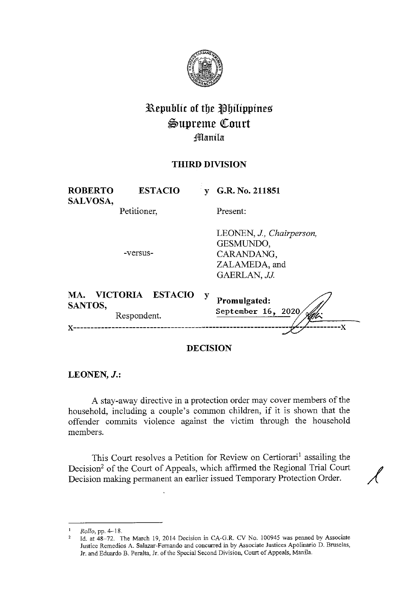

# **l\epublic of tbe tlbilippines**   $\mathfrak{Supreme}$  Court **f**lanila

## **THIRD DIVISION**

| <b>ROBERTO</b><br>SALVOSA, | <b>ESTACIO</b>                                   | V | G.R. No. 211851                                                                      |
|----------------------------|--------------------------------------------------|---|--------------------------------------------------------------------------------------|
|                            | Petitioner,                                      |   | Present:                                                                             |
|                            | -versus-                                         |   | LEONEN, J., Chairperson,<br>GESMUNDO,<br>CARANDANG,<br>ZALAMEDA, and<br>GAERLAN, JJ. |
| MA.<br>SANTOS,<br>x        | <b>VICTORIA</b><br><b>ESTACIO</b><br>Respondent. | y | Promulgated:<br>September 16, 2020<br>-X                                             |
|                            |                                                  |   |                                                                                      |

**DECISION** 

**LEONEN, J.:** 

A stay-away directive in a protection order may cover members of the household, including a couple's common children, if it is shown that the offender commits violence against the victim through the household members.

This Court resolves a Petition for Review on Certiorari<sup>1</sup> assailing the Decision<sup>2</sup> of the Court of Appeals, which affirmed the Regional Trial Court Decision making permanent an earlier issued Temporary Protection Order.

<sup>&</sup>lt;sup>1</sup> *Rollo*, pp. 4-18.

<sup>&</sup>lt;sup>2</sup> Id. at  $48-72$ . The March 19, 2014 Decision in CA-G.R. CV No. 100945 was penned by Associate **Justice Remedios A. Salazar-Fernando and concurred in by Associate Justices Apolinario D. Bruselas,**  Jr. and Eduardo B. Peralta, Jr. of the Special Second Division, Court of Appeals, Manila.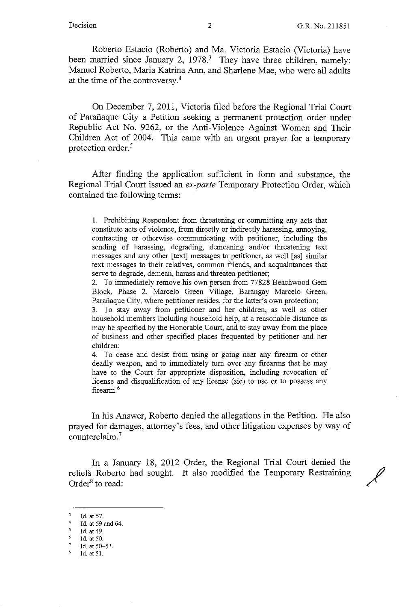Roberto Estacio (Roberto) and Ma. Victoria Estacio (Victoria) have been married since January 2, 1978.<sup>3</sup> They have three children, namely: Manuel Roberto, Maria Katrina Ann, and Sharlene Mae, who were all adults at the time of the controversy.<sup>4</sup>

On December 7, 2011, Victoria filed before the Regional Trial Court of Parafiaque City a Petition seeking a permanent protection order under Republic Act No. 9262, or the Anti-Violence Against Women and Their Children Act of 2004. This came with an urgent prayer for a temporary protection order. 5

After finding the application sufficient in form and substance, the Regional Trial Court issued an *ex-parte* Temporary Protection Order, which contained the following terms:

1. Prohibiting Respondent from threatening or committing any acts that constitute acts of violence, from directly or indirectly harassing, annoying, contracting or otherwise communicating with petitioner, including the sending of harassing, degrading, demeaning and/or threatening text messages and any other [text] messages to petitioner, as well [as] similar text messages to their relatives, common friends, and acquaintances that serve to degrade, demean, harass and threaten petitioner;

2. To immediately remove his own person from 77828 Beachwood Gem Block, Phase 2, Marcelo Green Village, Barangay Marcelo Green, Parañaque City, where petitioner resides, for the latter's own protection;

3. To stay away from petitioner and her children, as well as other household members including household help, at a reasonable distance as may be specified by the Honorable Court, and to stay away from the place of business and other specified places frequented by petitioner and her children;

4. To cease and desist from using or going near any firearm or other deadly weapon, and to immediately turn over any firearms that he may have to the Court for appropriate disposition, including revocation of license and disqualification of any license (sic) to use or to possess any firearm.<sup>6</sup>

In his Answer, Roberto denied the allegations in the Petition. He also prayed for damages, attorney's fees, and other litigation expenses by way of counterclaim. <sup>7</sup>

In a January 18, 2012 Order, the Regional Trial Court denied the reliefs Roberto had sought. It also modified the Temporary Restraining Order<sup>8</sup> to read:

6 Id. at 50.

 $\bf 8$ Id. at 51.

 $\mathbb{R}^2$ Id. at 57.

<sup>4</sup>  Id. at 59 and 64.

 $\leq$ Id. at 49.

<sup>7</sup>  Id. at 50-51.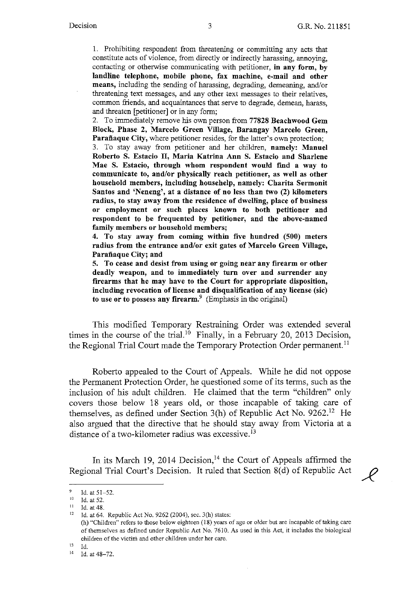1. Prohibiting respondent from threatening or committing any acts that constitute acts of violence, from directly or indirectly harassing, annoying, contacting or otherwise communicating with petitioner, **in any form, by landline telephone, mobile phone, fax machine, e-mail and other means,** including the sending of harassing, degrading, demeaning, and/or threatening text messages, and any other text messages to their relatives, common friends, and acquaintances that serve to degrade, demean, harass, and threaten [petitioner] or in any form;

2. To immediately remove his own person from **77828 Beachwood Gem Block, Phase 2, Marcelo Green Village, Barangay Marcelo Green,**  Parañaque City, where petitioner resides, for the latter's own protection; 3. To stay away from petitioner and her children, **namely: Manuel Roberto S. Estacio** II, **Maria Katrina Ann S. Estacio and Sharlene**  Mae S. Estacio, through whom respondent would find a way to **communicate to, and/or physically reach petitioner, as well as other household members, including househelp, namely: Charita Sermonit Santos and 'Neneng', at a distance of no less than two (2) kilometers radius, to stay away from the residence of dwelling, place of business or employment or such places known to both petitioner and respondent to be frequented by petitioner, and the above-named family members or household members;** 

**4. To stay away from coming within five hundred (500) meters radius from the entrance and/or exit gates of Marcelo Green Village,**  Parañaque City; and

**5. To cease and desist from using or going near any firearm or other deadly weapon, and to immediately tum over and surrender any firearms that he may have to the Court for appropriate disposition, including revocation of license and disqualification of any license (sic)**  to use or to possess any firearm.<sup>9</sup> (Emphasis in the original)

This modified Temporary Restraining Order was extended several times in the course of the trial.<sup>10</sup> Finally, in a February 20, 2013 Decision, the Regional Trial Court made the Temporary Protection Order permanent.<sup>11</sup>

Roberto appealed to the Court of Appeals. While he did not oppose the Permanent Protection Order, he questioned some of its terms, such as the inclusion of his adult children. He claimed that the term "children" only covers those below 18 years old, or those incapable of taking care of themselves, as defined under Section 3(h) of Republic Act No.  $9262$ .<sup>12</sup> He also argued that the directive that he should stay away from Victoria at a distance of a two-kilometer radius was excessive.<sup>13</sup>

In its March 19, 2014 Decision,<sup>14</sup> the Court of Appeals affirmed the Regional Trial Court's Decision. It ruled that Section 8(d) of Republic Act  $\mathscr{L}$ 

(h) "Children" refers to those below eighteen (18) years of age or older but are incapable of taking care of themselves as defined under Republic Act No. 7610. As used in this Act, it includes the biological children of the victim and other children under her care.

13 Id.

<sup>9</sup> Id. at 51-52.<br><sup>10</sup> Id. at 52.<br><sup>11</sup> Id. at 48.<br><sup>12</sup> Id. at 64. Republic Act No. 9262 (2004), sec. 3(h) states:

<sup>14</sup> Id. at 48-72.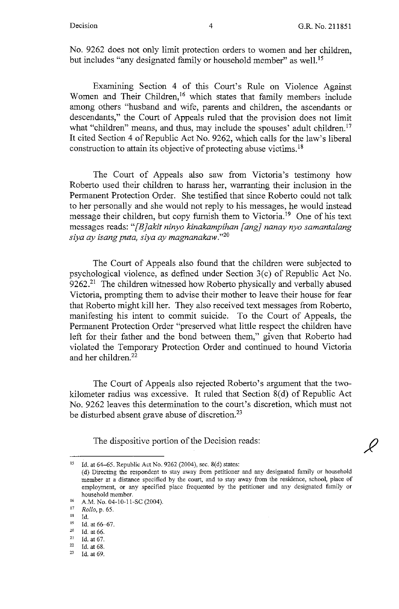$\overline{\mathscr{L}}$ 

No. 9262 does not only limit protection orders to women and her children, but includes "any designated family or household member" as well.<sup>15</sup>

Examining Section 4 of this Court's Rule on Violence Against Women and Their Children,<sup>16</sup> which states that family members include among others "husband and wife, parents and children, the ascendants or descendants," the Court of Appeals ruled that the provision does not limit what "children" means, and thus, may include the spouses' adult children.<sup>17</sup> It cited Section 4 of Republic Act No. 9262, which calls for the law's liberal construction to attain its objective of protecting abuse victims. <sup>18</sup>

The Court of Appeals also saw from Victoria's testimony how Roberto used their children to harass her, warranting their inclusion in the Permanent Protection Order. She testified that since Roberto could not talk to her personally and she would not reply to his messages, he would instead message their children, but copy furnish them to Victoria.<sup>19</sup> One of his text messages reads: *"[B]akit ninyo kinakampihan fang] nanay nyo samantalang siya ay isang puta, siya ay magnanakaw."20* 

The Court of Appeals also found that the children were subjected to psychological violence, as defined under Section  $3(c)$  of Republic Act No. 9262.<sup>21</sup> The children witnessed how Roberto physically and verbally abused Victoria, prompting them to advise their mother to leave their house for fear that Roberto might kill her. They also received text messages from Roberto, manifesting his intent to commit suicide. To the Court of Appeals, the Permanent Protection Order "preserved what little respect the children have left for their father and the bond between them," given that Roberto had violated the Temporary Protection Order and continued to hound Victoria and her children. $22$ 

The Court of Appeals also rejected Roberto's argument that the twokilometer radius was excessive. It ruled that Section  $8(d)$  of Republic Act No. 9262 leaves this determination to the court's discretion, which must not be disturbed absent grave abuse of discretion.<sup>23</sup>

The dispositive portion of the Decision reads:

Id. at 64-65. Republic Act No. 9262 (2004), sec. 8(d) states:

<sup>(</sup>d) Directing the respondent to stay away from petitioner and any designated family or household **member at a distance specified by the court, and to stay away from the residence, school, place of**  employment, or any specified place frequented by the petitioner and any designated family or household member.<br>
16 A.M. No. 04-10-11-SC (2004).<br>
17 Pollo n 65

<sup>17</sup>*Rollo,* p. 65.

<sup>&</sup>lt;sup>18</sup> Id. at 66-67.<br><sup>20</sup> Id. at 66.<br><sup>21</sup> Id. at 67.<br><sup>22</sup> Id. at 68.<br><sup>23</sup> Id. at 69.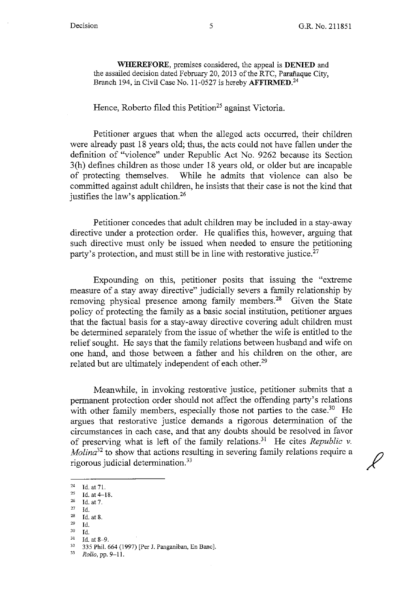**WHEREFORE,** premises considered, the appeal is **DENIED** and the assailed decision dated February 20, 2013 of the RTC, Parafiaque City, Branch 194, in Civil Case No. 11-0527 is hereby **AFFIRMED**.<sup>24</sup>

#### Hence, Roberto filed this Petition<sup>25</sup> against Victoria.

Petitioner argues that when the alleged acts occurred, their children were already past 18 years old; thus, the acts could not have fallen under the definition of "violence" under Republic Act No. 9262 because its Section 3(h) defines children as those under 18 years old, or older but are incapable of protecting themselves. While he admits that violence can also be committed against adult children, he insists that their case is not the kind that justifies the law's application.<sup>26</sup>

Petitioner concedes that adult children may be included in a stay-away directive under a protection order. He qualifies this, however, arguing that such directive must only be issued when needed to ensure the petitioning party's protection, and must still be in line with restorative justice.<sup>27</sup>

Expounding on this, petitioner posits that issuing the "extreme measure of a stay away directive" judicially severs a family relationship by removing physical presence among family members.<sup>28</sup> Given the State policy of protecting the family as a basic social institution, petitioner argues that the factual basis for a stay-away directive covering adult children must be determined separately from the issue of whether the wife is entitled to the relief sought. He says that the family relations between husband and wife on one hand, and those between a father and his children on the other, are related but are ultimately independent of each other.<sup>29</sup>

Meanwhile, in invoking restorative justice, petitioner submits that a permanent protection order should not affect the offending party's relations with other family members, especially those not parties to the case.<sup>30</sup> He argues that restorative justice demands a rigorous determination of the circumstances in each case, and that any doubts should be resolved in favor of preserving what is left of the family relations.31 He cites *Republic v. Molina*<sup>32</sup> to show that actions resulting in severing family relations require a rigorous judicial determination. $33$ 

 $^{24}$  Id. at 71.<br> $^{25}$  Id. at 4.1

 $\frac{25}{26}$  Id. at 4-18.<br> $\frac{25}{27}$  Id. at 7.

 $\frac{27}{28}$  Id.

 $\frac{28}{29}$  Id. at 8.

 $\frac{29}{30}$  Id.

<sup>30</sup> Id. 31 Id. at 8-9. 32 335 Phil. 664 (1997) [Per J. Panganiban, En Banc]. 33 *Rollo,* **pp. 9-1 l.**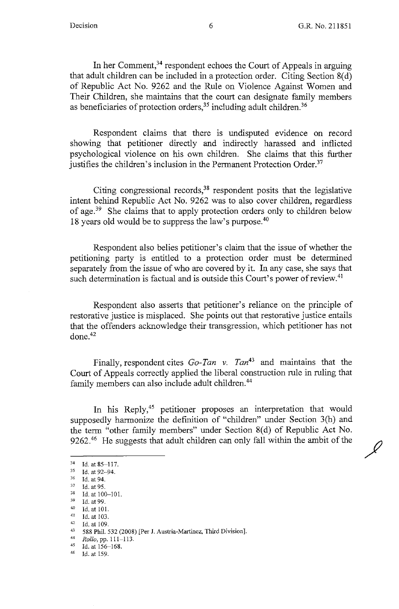In her Comment,<sup>34</sup> respondent echoes the Court of Appeals in arguing that adult children can be included in a protection order. Citing Section 8(d) of Republic Act No. 9262 and the Rule on Violence Against Women and Their Children, she maintains that the court can designate family members as beneficiaries of protection orders,<sup>35</sup> including adult children.<sup>36</sup>

Respondent claims that there is undisputed evidence on record showing that petitioner directly and indirectly harassed and inflicted psychological violence on his own children. She claims that this further justifies the children's inclusion in the Permanent Protection Order.<sup>37</sup>

Citing congressional records,<sup>38</sup> respondent posits that the legislative intent behind Republic Act No. 9262 was to also cover children, regardless of age.39 She claims that to apply protection orders only to children below 18 years old would be to suppress the law's purpose.40

Respondent also belies petitioner's claim that the issue of whether the petitioning party is entitled to a protection order must be determined separately from the issue of who are covered by it. In any case, she says that such determination is factual and is outside this Court's power of review.<sup>41</sup>

Respondent also asserts that petitioner's reliance on the principle of restorative justice is misplaced. She points out that restorative justice entails that the offenders acknowledge their transgression, which petitioner has not done.42

Finally, respondent cites *Go-Tan v. Tan43* and maintains that the Court of Appeals correctly applied the liberal construction rule in ruling that family members can also include adult children.<sup>44</sup>

In his Reply,<sup>45</sup> petitioner proposes an interpretation that would supposedly harmonize the definition of "children" under Section 3(h) and the term "other family members" under Section 8(d) of Republic Act No. 9262.<sup>46</sup> He suggests that adult children can only fall within the ambit of the

 $^{34}$  Id. at 85-117.<br><sup>35</sup> Id. at 92-94

 $^{35}$  Id. at 92-94.<br> $^{36}$  Id. at 94.<br> $^{37}$  Id. at 95.

<sup>&</sup>lt;sup>38</sup> Id. at 100-101.<br>
<sup>39</sup> Id. at 99.<br>
40 Id. at 101.<br>
<sup>41</sup> Id. at 103.<br>
<sup>42</sup> Id. at 109.<br>
<sup>43</sup> 588 Phil. 532 (2008) [Per J. Austria-Martinez, Third Division].

<sup>44</sup> *Rollo,* pp. 111-113. 45 Id. at 156-168. 46 Id. at 159.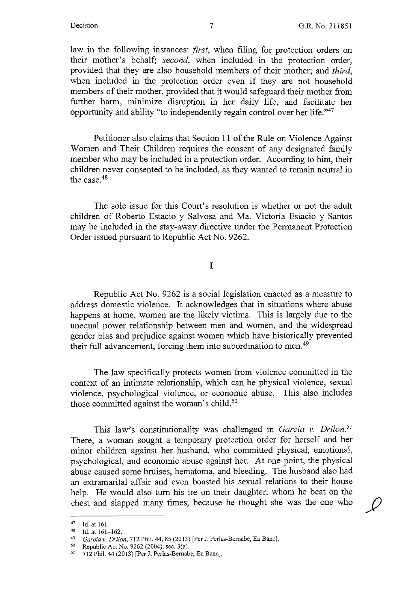law in the following instances: *first,* when filing for protection orders on their mother's behalf; *second,* when included in the protection order, provided that they are also household members of their mother; and *third,*  when included in the protection order even if they are not household members of their mother, provided that it would safeguard their mother from further harm, minimize disruption in her daily life, and facilitate her opportunity and ability "to independently regain control over her life."47

Petitioner also claims that Section 11 of the Rule on Violence Against Women and Their Children requires the consent of any designated family member who may be included in a protection order. According to him, their children never consented to be included, as they wanted to remain neutral in the case.48

The sole issue for this Court's resolution is whether or not the adult children of Roberto Estacio y Salvosa and Ma. Victoria Estacio y Santos may be included in the stay-away directive under the Permanent Protection Order issued pursuant to Republic Act No. 9262.

I

Republic Act No. 9262 is a social legislation enacted as a measure to address domestic violence. It acknowledges that in situations where abuse happens at home, women are the likely victims. This is largely due to the unequal power relationship between men and women, and the widespread gender bias and prejudice against women which have historically prevented their full advancement, forcing them into subordination to men.<sup>49</sup>

The law specifically protects women from violence committed in the context of an intimate relationship, which can be physical violence, sexual violence, psychological violence, or economic abuse. This also includes those committed against the woman's child. $50$ 

This law's constitutionality was challenged in *Garcia v. Drilon.51*  There, a woman sought a temporary protection order for herself and her minor children against her husband, who committed physical, emotional, psychological, and economic abuse against her. At one point, the physical abuse caused some bruises, hematoma, and bleeding. The husband also had an extramarital affair and even boasted his sexual relations to their house help. He would also tum his ire on their daughter, whom he beat on the chest and slapped many times, because he thought she was the one who

<sup>47</sup> Id. at 161. 48 Id. at 161-162. 49 *Garcia v. Drilon,* 712 Phil. 44, 85 (2013) [Per J. Perlas-Bernabe, En Banc]. 50 Republic Act No. 9262 (2004), sec. 3(a).

<sup>51</sup> 712 Phil. 44 (2013) [Per J. Perlas-Bernabe, En Banc].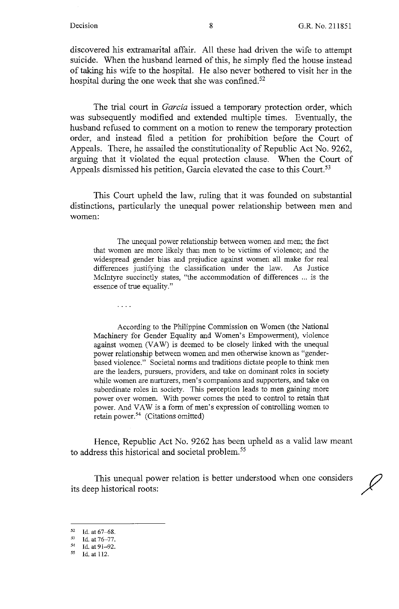discovered his extramarital affair. All these had driven the wife to attempt suicide. When the husband learned of this, he simply fled the house instead of taking his wife to the hospital. He also never bothered to visit her in the hospital during the one week that she was confined.<sup>52</sup>

The trial court in *Garcia* issued a temporary protection order, which was subsequently modified and extended multiple times. Eventually, the husband refused to comment on a motion to renew the temporary protection order, and instead filed a petition for prohibition before the Court of Appeals. There, he assailed the constitutionality of Republic Act No. 9262, arguing that it violated the equal protection clause. When the Court of Appeals dismissed his petition, Garcia elevated the case to this Court.<sup>53</sup>

This Court upheld the law, ruling that it was founded on substantial distinctions, particularly the unequal power relationship between men and women:

The unequal power relationship between women and men; the fact that women are more likely than men to be victims of violence; and the widespread gender bias and prejudice against women all make for real differences justifying the classification under the law. As Justice McIntyre succinctly states, "the accommodation of differences ... is the essence of true equality."

According to the Philippine Commission on Women (the National Machinery for Gender Equality and Women's Empowerment), violence against women (VAW) is deemed to be closely linked with the unequal power relationship between women and men otherwise known as "genderbased violence." Societal norms and traditions dictate people to think men are the leaders, pursuers, providers, and take on dominant roles in society while women are nurturers, men's companions and supporters, and take on subordinate roles in society. This perception leads to men gaining more power over women. With power comes the need to control to retain that power. And VAW is a form of men's expression of controlling women to retain power. 54 (Citations omitted)

Hence, Republic Act No. 9262 has been upheld as a valid law meant to address this historical and societal problem.<sup>55</sup>

This unequal power relation is better understood when one considers its deep historical roots:

 $\ldots$  .

 $52$  Id. at 67-68.<br> $53$  Id. at 76-77.

<sup>&</sup>lt;sup>54</sup> Id. at 91-92.

*<sup>55</sup>* Id. at 112.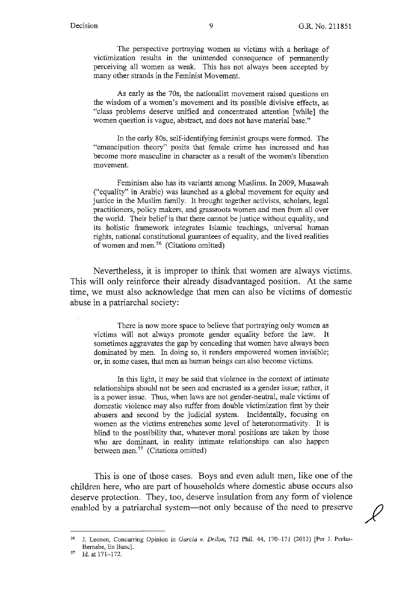The perspective portraying women as victims with a heritage of victimization results in the unintended consequence of permanently perceiving all women as weak. This has not always been accepted by many other strands in the Feminist Movement.

As early as the 70s, the nationalist movement raised questions on the wisdom of a women's movement and its possible divisive effects, as "class problems deserve unified and concentrated attention [while] the women question is vague, abstract, and does not have material base."

In the early 80s, self-identifying feminist groups were formed. The "emancipation theory" posits that female crime has increased and has become more masculine in character as a result of the women's liberation movement.

Feminism also has its variants among Muslims. In 2009, Musawah ("equality" in Arabic) was launched as a global movement for equity and justice in the Muslim family. It brought together activists, scholars, legal practitioners, policy makers, and grassroots women and men from all over the world. Their belief is that there cannot be justice without equality, and its holistic framework integrates Islamic teachings, universal human rights, national constitutional guarantees of equality, and the lived realities of women and men. 56 (Citations omitted)

Nevertheless, it is improper to think that women are always victims. This will only reinforce their already disadvantaged position. At the same time, we must also acknowledge that men can also be victims of domestic abuse in a patriarchal society:

There is now more space to believe that portraying only women as victims will not always promote gender equality before the law. It sometimes aggravates the gap by conceding that women have always been dominated by men. In doing so, it renders empowered women invisible; or, in some cases, that men as human beings can also become victims.

In this light, it may be said that violence in the context of intimate relationships should not be seen and encrusted as a gender issue; rather, it is a power issue. Thus, when laws are not gender-neutral, male victims of domestic violence may also suffer from double victimization first by their abusers and second by the judicial system. Incidentally, focusing on women as the victims entrenches some level of heteronormativity. It is blind to the possibility that, whatever moral positions are taken by those who are dominant, in reality intimate relationships can also happen between men.<sup>57</sup> (Citations omitted)

This is one of those cases. Boys and even adult men, like one of the children here, who are part of households where domestic abuse occurs also deserve protection. They, too, deserve insulation from any form of violence enabled by a patriarchal system-not only because of the need to preserve

<sup>56</sup> J. Leonen, Concurring Opinion in *Garcia v. Drilon,* 712 Phil. 44, 170-171 (2013) [Per J. Perlas-Bemabe, En Banc].

<sup>57</sup> Id. at 171-172.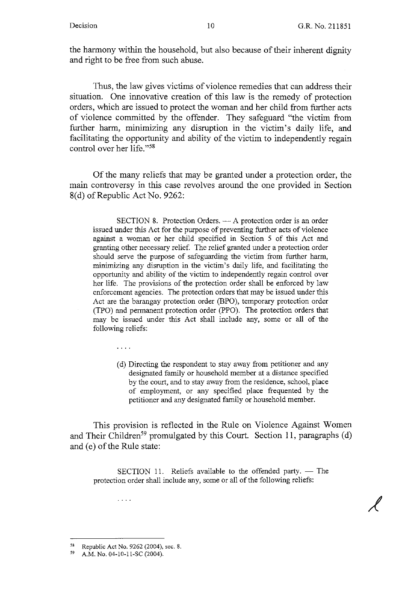the harmony within the household, but also because of their inherent dignity and right to be free from such abuse.

Thus, the law gives victims of violence remedies that can address their situation. One innovative creation of this law is the remedy of protection orders, which are issued to protect the woman and her child from further acts of violence committed by the offender. They safeguard "the victim from further harm, minimizing any disruption in the victim's daily life, and facilitating the opportunity and ability of the victim to independently regain control over her life."<sup>58</sup>

Of the many reliefs that may be granted under a protection order, the main controversy in this case revolves around the one provided in Section 8(d) of Republic Act No. 9262:

 $SECTION 8.$  Protection Orders.  $- A$  protection order is an order issued under this Act for the purpose of preventing further acts of violence against a woman or her child specified in Section 5 of this Act and granting other necessary relief. The relief granted under a protection order should serve the purpose of safeguarding the victim from further harm, minimizing any disruption in the victim's daily life, and facilitating the opportunity and ability of the victim to independently regain control over her life. The provisions of the protection order shall be enforced by law enforcement agencies. The protection orders that may be issued under this Act are the barangay protection order (BPO), temporary protection order (TPO) and permanent protection order (PPO). The protection orders that may be issued under this Act shall include any, some or all of the following reliefs:

> ( d) Directing the respondent to stay away from petitioner and any designated family or household member at a distance specified by the court, and to stay away from the residence, school, place of employment, or any specified place frequented by the petitioner and any designated family or household member.

This provision is reflected in the Rule on Violence Against Women and Their Children<sup>59</sup> promulgated by this Court. Section 11, paragraphs (d) and (e) of the Rule state:

SECTION 11. Reliefs available to the offended party.  $-$  The protection order shall include any, some or all of the following reliefs:

 $\omega$  is a  $\omega$ 

 $\ldots$  .

<sup>58</sup> Republic Act No. 9262 (2004), sec. 8.

<sup>59</sup> A.M. No. 04-10-11-SC (2004).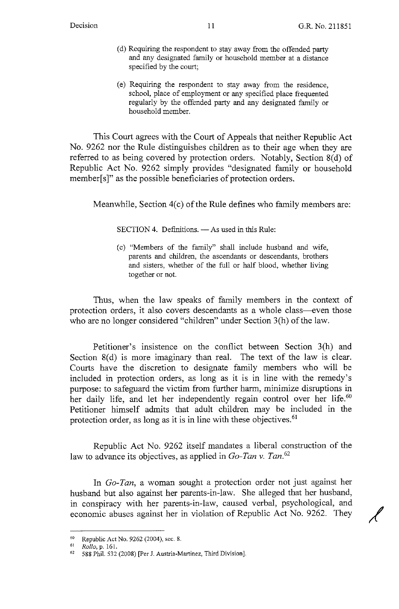- ( d) Requiring the respondent to stay away from the offended party and any designated family or household member at a distance specified by the court;
- ( e) Requiring the respondent to stay away from the residence, school, place of employment or any specified place frequented regularly by the offended party and any designated family or household member.

This Court agrees with the Court of Appeals that neither Republic Act No. 9262 nor the Rule distinguishes children as to their age when they are referred to as being covered by protection orders. Notably, Section 8(d) of Republic Act No. 9262 simply provides "designated family or household member[s]" as the possible beneficiaries of protection orders.

Meanwhile, Section 4(c) of the Rule defines who family members are:

 $SECTION 4.$  Definitions.  $-$  As used in this Rule:

( c) "Members of the family" shall include husband and wife, parents and children, the ascendants or descendants, brothers and sisters, whether of the full or half blood, whether living together or not.

Thus, when the law speaks of family members in the context of protection orders, it also covers descendants as a whole class-even those who are no longer considered "children" under Section 3(h) of the law.

Petitioner's insistence on the conflict between Section 3(h) and Section 8(d) is more imaginary than real. The text of the law is clear. Courts have the discretion to designate family members who will be included in protection orders, as long as it is in line with the remedy's purpose: to safeguard the victim from further harm, minimize disruptions in her daily life, and let her independently regain control over her life.<sup>60</sup> Petitioner himself admits that adult children may be included in the protection order, as long as it is in line with these objectives.<sup>61</sup>

Republic Act No. 9262 itself mandates a liberal construction of the law to advance its objectives, as applied in *Go-Tan v. Tan. <sup>62</sup>*

In *Go-Tan,* a woman sought a protection order not just against her husband but also against her parents-in-law. She alleged that her husband, in conspiracy with her parents-in-law, caused verbal, psychological, and economic abuses against her in violation of Republic Act No. 9262. They

<sup>60</sup> Republic Act No. 9262 (2004), sec. 8.

<sup>61</sup>*Rollo,* p. 161.

<sup>62 588</sup> Phil. 532 (2008) [Per J. Austria-Martinez, Third Division].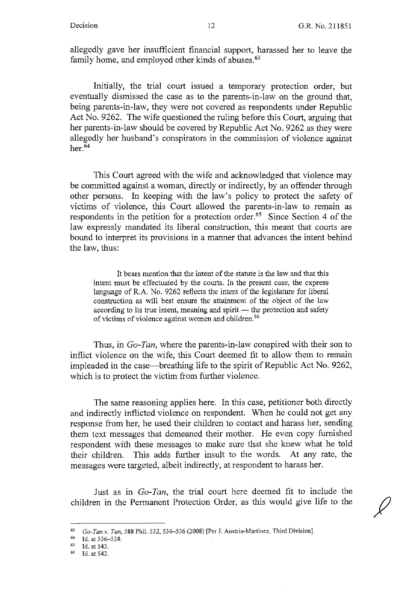allegedly gave her insufficient financial support, harassed her to leave the family home, and employed other kinds of abuses.<sup>63</sup>

Initially, the trial court issued a temporary protection order, but eventually dismissed the case as to the parents-in-law on the ground that, being parents-in-law, they were not covered as respondents under Republic Act No. 9262. The wife questioned the ruling before this Court, arguing that her parents-in-law should be covered by Republic Act No. 9262 as they were allegedly her husband's conspirators in the commission of violence against her. $64$ 

This Court agreed with the wife and acknowledged that violence may be committed against a woman, directly or indirectly, by an offender through other persons. In keeping with the law's policy to protect the safety of victims of violence, this Court allowed the parents-in-law to remain as respondents in the petition for a protection order.<sup>65</sup> Since Section 4 of the law expressly mandated its liberal construction, this meant that courts are bound to interpret its provisions in a manner that advances the intent behind the law, thus:

It bears mention that the intent of the statute is the law and that this intent must be effectuated by the courts. In the present case, the express language of R.A. No. 9262 reflects the intent of the legislature for liberal construction as will best ensure the attainment of the object of the law according to its true intent, meaning and spirit - the protection and safety of victims of violence against women and children.<sup>66</sup>

Thus, in *Go-Tan,* where the parents-in-law conspired with their son to inflict violence on the wife, this Court deemed fit to allow them to remain impleaded in the case—breathing life to the spirit of Republic Act No. 9262, which is to protect the victim from further violence.

The same reasoning applies here. In this case, petitioner both directly and indirectly inflicted violence on respondent. When he could not get any response from her, he used their children to contact and harass her, sending them text messages that demeaned their mother. He even copy furnished respondent with these messages to make sure that she knew what he told their children. This adds further insult to the words. At any rate, the messages were targeted, albeit indirectly, at respondent to harass her.

Just as in *Go-Tan,* the trial court here deemed fit to include the children in the Permanent Protection Order, as this would give life to the

<sup>63</sup> *Go-Tan v. Tan,* 588 Phil. 532, 534--536 (2008) [Per J. Austria-Martinez, Third Division].

<sup>64</sup> Id. at 536-538.<br>
65 Id. at 543.<br>
66 Id. at 542.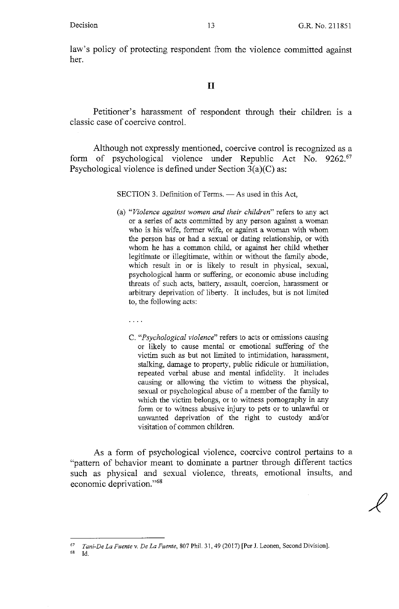law's policy of protecting respondent from the violence committed against her.

#### II

Petitioner's harassment of respondent through their children is a classic case of coercive control.

Although not expressly mentioned, coercive control is recognized as a form of psychological violence under Republic Act No. 9262.<sup>67</sup> Psychological violence is defined under Section 3(a)(C) as:

SECTION 3. Definition of Terms. - As used in this Act,

- (a) *"Violence against women and their children"* refers to any act or a series of acts committed by any person against a woman who is his wife, former wife, or against a woman with whom the person has or had a sexual or dating relationship, or with whom he has a common child, or against her child whether legitimate or illegitimate, within or without the family abode, which result in or is likely to result in physical, sexual, psychological harm or suffering, or economic abuse including threats of such acts, battery, assault, coercion, harassment or arbitrary deprivation of liberty. It includes, but is not limited to, the following acts:
	- $\frac{1}{2}$  ,  $\frac{1}{2}$  ,  $\frac{1}{2}$
	- C. *"Psychological violence"* refers to acts or omissions causing or likely to cause mental or emotional suffering of the victim such as but not limited to intimidation, harassment, stalking, damage to property, public ridicule or humiliation, repeated verbal abuse and mental infidelity. It includes causing or allowing the victim to witness the physical, sexual or psychological abuse of a member of the family to which the victim belongs, or to witness pornography in any form or to witness abusive injury to pets or to unlawful or unwanted deprivation of the right to custody and/or visitation of common children.

As a form of psychological violence, coercive control pertains to a "pattern of behavior meant to dominate a partner through different tactics such as physical and sexual violence, threats, emotional insults, and economic deprivation."<sup>68</sup>

<sup>67</sup> *Tani-De La Fuente v. De La Fuente,* 807 Phil. 31, 49 (2017) [Per J. Leanen, Second Division]. 68 Id.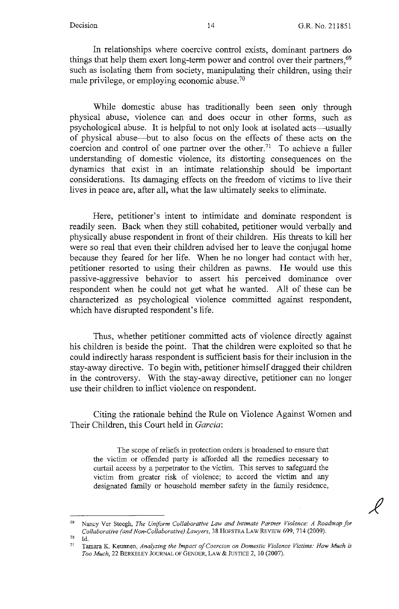In relationships where coercive control exists, dominant partners do things that help them exert long-term power and control over their partners,<sup>69</sup> such as isolating them from society, manipulating their children, using their male privilege, or employing economic abuse. $70$ 

While domestic abuse has traditionally been seen only through physical abuse, violence can and does occur in other forms, such as psychological abuse. It is helpful to not only look at isolated acts—usually of physical abuse-but to also focus on the effects of these acts on the coercion and control of one partner over the other.<sup>71</sup> To achieve a fuller understanding of domestic violence, its distorting consequences on the dynamics that exist in an intimate relationship should be important considerations. Its damaging effects on the freedom of victims to live their lives in peace are, after all, what the law ultimately seeks to eliminate.

Here, petitioner's intent to intimidate and dominate respondent is readily seen. Back when they still cohabited, petitioner would verbally and physically abuse respondent in front of their children. His threats to kill her were so real that even their children advised her to leave the conjugal home because they feared for her life. When he no longer had contact with her, petitioner resorted to using their children as pawns. He would use this passive-aggressive behavior to assert his perceived dominance over respondent when he could not get what he wanted. All of these can be characterized as psychological violence committed against respondent, which have disrupted respondent's life.

Thus, whether petitioner committed acts of violence directly against his children is beside the point. That the children were exploited so that he could indirectly harass respondent is sufficient basis for their inclusion in the stay-away directive. To begin with, petitioner himself dragged their children in the controversy. With the stay-away directive, petitioner can no longer use their children to inflict violence on respondent.

Citing the rationale behind the Rule on Violence Against Women and Their Children, this Court held in *Garcia:* 

The scope of reliefs in protection orders is broadened to ensure that the victim or offended party is afforded all the remedies necessary to curtail access by a perpetrator to the victim. This serves to safeguard the victim from greater risk of violence; to accord the victim and any designated family or household member safety in the family residence,

<sup>69</sup> Nancy Ver Steegh, *The Uniform Collaborative Law and Intimate Partner Violence: A Roadmap for Collaborative (and Non-Collaborative) Lawyers,* 38 HOFSTRA LAW REVIEW 699, 714 (2009).

<sup>70</sup> Id. 71 **Tamara K. Keunnen,** *Analyzing the Impact a/Coercion on Domestic Violence Victims: How Much is Too Much,* 22 BERKELEY JOURNAL OF GENDER, LAW & JUSTICE 2, 10 (2007).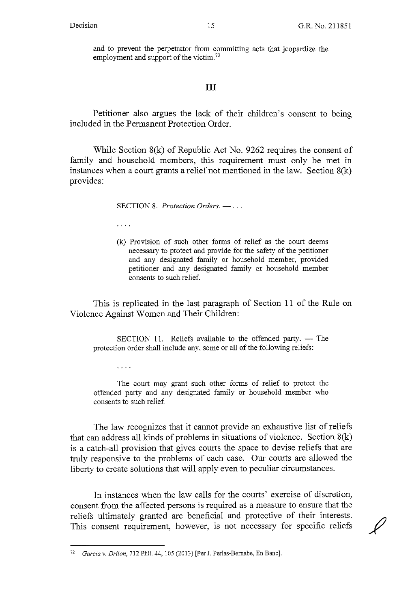and to prevent the perpetrator from committing acts that jeopardize the employment and support of the victim.<sup>72</sup>

### III

Petitioner also argues the lack of their children's consent to being included in the Permanent Protection Order.

While Section S(k) of Republic Act No. 9262 requires the consent of family and household members, this requirement must only be met in instances when a court grants a relief not mentioned in the law. Section S(k) provides:

SECTION 8. *Protection Orders.* - ...

 $\sim 100$  km s  $^{-1}$ 

 $\ldots$ 

(k) Provision of such other forms of relief as the court deems necessary to protect and provide for the safety of the petitioner and any designated family or household member, provided petitioner and any designated family or household member consents to such relief.

This is replicated in the last paragraph of Section 11 of the Rule on Violence Against Women and Their Children:

SECTION 11. Reliefs available to the offended party.  $-$  The protection order shall include any, some or all of the following reliefs:

The court may grant such other forms of relief to protect the offended party and any designated family or household member who consents to such relief

The law recognizes that it cannot provide an exhaustive list of reliefs that can address all kinds of problems in situations of violence. Section  $8(k)$ is a catch-all provision that gives courts the space to devise reliefs that are truly responsive to the problems of each case. Our courts are allowed the liberty to create solutions that will apply even to peculiar circumstances.

In instances when the law calls for the courts' exercise of discretion, consent from the affected persons is required as a measure to ensure that the reliefs ultimately granted are beneficial and protective of their interests. This consent requirement, however, is not necessary for specific reliefs

<sup>&</sup>lt;sup>72</sup> *Garcia v. Drilon, 712 Phil. 44, 105 (2013)* [Per J. Perlas-Bernabe, En Banc].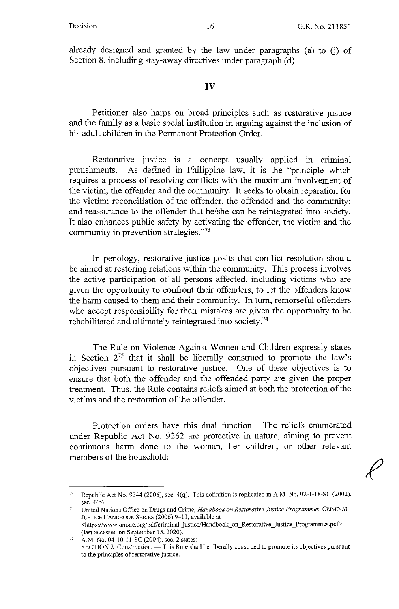already designed and granted by the law under paragraphs (a) to G) of Section 8, including stay-away directives under paragraph (d).

#### **IV**

Petitioner also harps on broad principles such as restorative justice and the family as a basic social institution in arguing against the inclusion of his adult children in the Permanent Protection Order.

Restorative justice is a concept usually applied in criminal punishments. As defined in Philippine law, it is the "principle which requires a process of resolving conflicts with the maximum involvement of the victim, the offender and the community. It seeks to obtain reparation for the victim; reconciliation of the offender, the offended and the community; and reassurance to the offender that he/she can be reintegrated into society. It also enhances public safety by activating the offender, the victim and the community in prevention strategies."73

In penology, restorative justice posits that conflict resolution should be aimed at restoring relations within the community. This process involves the active participation of all persons affected, including victims who are given the opportunity to confront their offenders, to let the offenders know the harm caused to them and their community. In turn, remorseful offenders who accept responsibility for their mistakes are given the opportunity to be rehabilitated and ultimately reintegrated into society. <sup>74</sup>

The Rule on Violence Against Women and Children expressly states in Section 275 that it shall be liberally construed to promote the law's objectives pursuant to restorative justice. One of these objectives is to ensure that both the offender and the offended party are given the proper treatment. Thus, the Rule contains reliefs aimed at both the protection of the victims and the restoration of the offender.

Protection orders have this dual function. The reliefs enumerated under Republic Act No. 9262 are protective in nature, aiming to prevent continuous harm done to the woman, her children, or other relevant members of the household:

<sup>73</sup> Republic Act No. 9344 (2006), sec. 4(q). This definition is replicated in A.M. No. 02-1-18-SC (2002), sec. 4(o). 74 **United Nations Office on Drugs and Crime,** *Handbook on Restorative Justice Programmes,* **CRIMINAL** 

JUSTICE HANDBOOK SERIES (2006) 9-11, available at <https://www.unodc.org/pd£'criminal \_justice/Handbook\_ on\_ Restorative \_Justice \_Programmes.pdf> (last accessed on September 15, 2020).

<sup>75</sup> A.M. No. 04-10-11-SC (2004), sec. 2 states: **SECTION 2. Construction.** - This Rule shall be liberally construed to promote its objectives pursuant **to the principles of restorative justice.**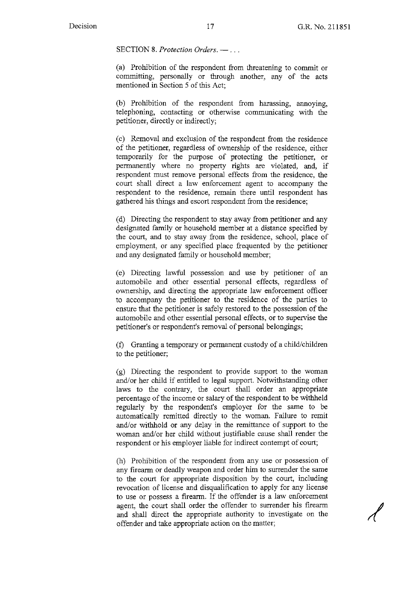SECTION 8. Protection Orders. ---

(a) Prohibition of the respondent from threatening to commit or committing, personally or through another, any of the acts mentioned in Section 5 of this Act;

(b) Prohibition of the respondent from harassing, annoying, telephoning, contacting or otherwise communicating with the petitioner, directly or indirectly;

( c) Removal and exclusion of the respondent from the residence of the petitioner, regardless of ownership of the residence, either temporarily for the purpose of protecting the petitioner, or permanently where no property rights are violated, and, if respondent must remove personal effects from the residence, the court shall direct a law enforcement agent to accompany the respondent to the residence, remain there until respondent has gathered his things and escort respondent from the residence;

( d) Directing the respondent to stay away from petitioner and any designated family or household member at a distance specified by the court, and to stay away from the residence, school, place of employment, or any specified place frequented by the petitioner and any designated family or household member;

( e) Directing lawful possession and use by petitioner of an automobile and other essential personal effects, regardless of ownership, and directing the appropriate law enforcement officer to accompany the petitioner to the residence of the parties to ensure that the petitioner is safely restored to the possession of the automobile and other essential personal effects, or to supervise the petitioner's or respondent's removal of personal belongings;

(f) Granting a temporary or permanent custody of a child/children to the petitioner;

(g) Directing the respondent to provide support to the woman and/or her child if entitled to legal support. Notwithstanding other laws to the contrary, the court shall order an appropriate percentage of the income or salary of the respondent to be withheld regularly by the respondent's employer for the same to be automatically remitted directly to the woman. Failure to remit and/or withhold or any delay in the remittance of support to the woman and/or her child without justifiable cause shall render the respondent or his employer liable for indirect contempt of court;

(h) Prohibition of the respondent from any use or possession of any firearm or deadly weapon and order him to surrender the same to the court for appropriate disposition by the court, including revocation of license and disqualification to apply for any license to use or possess a firearm. If the offender is a law enforcement agent, the court shall order the offender to surrender his firearm and shall direct the appropriate authority to investigate on the offender and take appropriate action on the matter;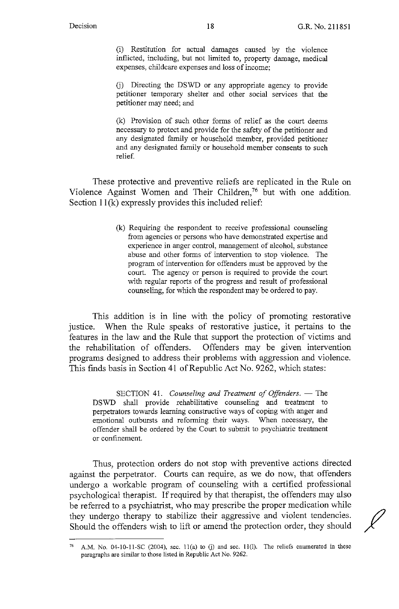(i) Restitution for actual damages caused by the violence inflicted, including, but not limited to, property damage, medical expenses, childcare expenses and loss of income;

G) Directing the DSWD or any appropriate agency to provide petitioner temporary shelter and other social services that the petitioner may need; and

(k) Provision of such other forms of relief as the court deems necessary to protect and provide for the safety of the petitioner and any designated family or household member, provided petitioner and any designated family or household member consents to such relief.

These protective and preventive reliefs are replicated in the Rule on Violence Against Women and Their Children,<sup>76</sup> but with one addition. Section  $11(k)$  expressly provides this included relief:

> (k) Requiring the respondent to receive professional counseling from agencies or persons who have demonstrated expertise and experience in anger control, management of alcohol, substance abuse and other forms of intervention to stop violence. The program of intervention for offenders must be approved by the court. The agency or person is required to provide the court with regular reports of the progress and result of professional counseling, for which the respondent may be ordered to pay.

This addition is in line with the policy of promoting restorative justice. When the Rule speaks of restorative justice, it pertains to the features in the law and the Rule that support the protection of victims and the rehabilitation of offenders. Offenders may be given intervention programs designed to address their problems with aggression and violence. This finds basis in Section 41 of Republic Act No. 9262, which states:

SECTION 41. *Counseling and Treatment of Offenders*. - The DSWD shall provide rehabilitative counseling and treatment to perpetrators towards learning constructive ways of coping with anger and emotional outbursts and reforming their ways. When necessary, the offender shall be ordered by the Court to submit to psychiatric treatment or confinement.

Thus, protection orders do not stop with preventive actions directed against the perpetrator. Courts can require, as we do now, that offenders undergo a workable program of counseling with a certified professional psychological therapist. If required by that therapist, the offenders may also be referred to a psychiatrist, who may prescribe the proper medication while they undergo therapy to stabilize their aggressive and violent tendencies. Should the offenders wish to lift or amend the protection order, they should

A.M. No. 04-10-11-SC (2004), sec. 11(a) to (j) and sec. 11(l). The reliefs enumerated in these paragraphs are similar to those listed in Republic Act No. 9262.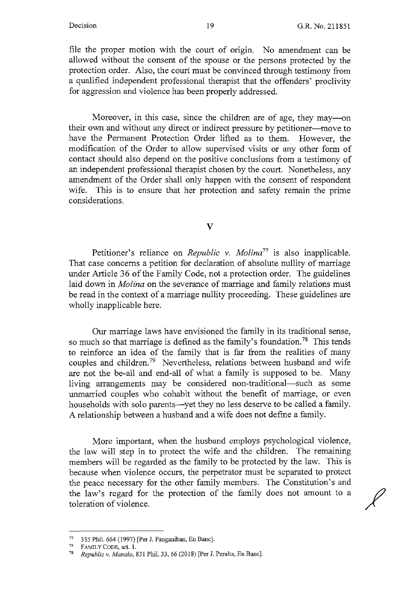$\chi$ 

file the proper motion with the court of origin. No amendment can be allowed without the consent of the spouse or the persons protected by the protection order. Also, the court must be convinced through testimony from a qualified independent professional therapist that the offenders' proclivity for aggression and violence has been properly addressed.

Moreover, in this case, since the children are of age, they may—on their own and without any direct or indirect pressure by petitioner-move to have the Permanent Protection Order lifted as to them. However, the modification of the Order to allow supervised visits or any other form of contact should also depend on the positive conclusions from a testimony of an independent professional therapist chosen by the court. Nonetheless, any amendment of the Order shall only happen with the consent of respondent wife. This is to ensure that her protection and safety remain the prime considerations.

V

Petitioner's reliance on *Republic v. Molina77* is also inapplicable. That case concerns a petition for declaration of absolute nullity of marriage under Article 36 of the Family Code, not a protection order. The guidelines laid down in *Molina* on the severance of marriage and family relations must be read in the context of a marriage nullity proceeding. These guidelines are wholly inapplicable here.

Our marriage laws have envisioned the family in its traditional sense, so much so that marriage is defined as the family's foundation.<sup>78</sup> This tends to reinforce an idea of the family that is far from the realities of many couples and children.<sup>79</sup> Nevertheless, relations between husband and wife are not the be-all and end-all of what a family is supposed to be. Many living arrangements may be considered non-traditional—such as some unmarried couples who cohabit without the benefit of marriage, or even households with solo parents--yet they no less deserve to be called a family. A relationship between a husband and a wife does not define a family.

More important, when the husband employs psychological violence, the law will step in to protect the wife and the children. The remaining members will be regarded as the family to be protected by the law. This is because when violence occurs, the perpetrator must be separated to protect the peace necessary for the other family members. The Constitution's and the law's regard for the protection of the family does not amount to a toleration of violence.

<sup>77</sup>335 Phil. 664 (1997) [Per J. Panganiban, En Banc].

 $^{78}$  FAMILY CODE, art. 1.<br> $^{79}$  Panublia v Manulo 8

*Republic v. Manalo, 831 Phil. 33, 66 (2018) [Per J. Peralta, En Banc].*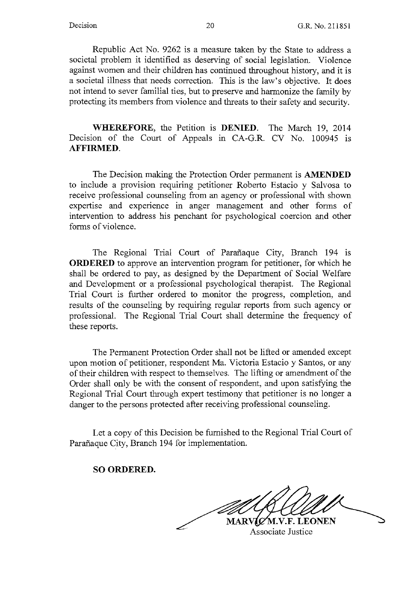Republic Act No. 9262 is a measure taken by the State to address a societal problem it identified as deserving of social legislation. Violence against women and their children has continued throughout history, and it is a societal illness that needs correction. This is the law's objective. It does not intend to sever familial ties, but to preserve and harmonize the family by protecting its members from violence and threats to their safety and security.

**WHEREFORE,** the Petition is **DENIED.** The March 19, 2014 Decision of the Court of Appeals in CA-G.R. CV No. 100945 is **AFFIRMED.** 

The Decision making the Protection Order permanent is **AMENDED**  to include a provision requiring petitioner Roberto Estacio y Salvosa to receive professional counseling from an agency or professional with shown expertise and experience in anger management and other forms of intervention to address his penchant for psychological coercion and other forms of violence.

The Regional Trial Court of Parafiaque City, Branch 194 is **ORDERED** to approve an intervention program for petitioner, for which he shall be ordered to pay, as designed by the Department of Social Welfare and Development or a professional psychological therapist. The Regional Trial Court is further ordered to monitor the progress, completion, and results of the counseling by requiring regular reports from such agency or professional. The Regional Trial Court shall determine the frequency of these reports.

The Permanent Protection Order shall not be lifted or amended except upon motion of petitioner, respondent Ma. Victoria Estacio y Santos, or any of their children with respect to themselves. The lifting or amendment of the Order shall only be with the consent of respondent, and upon satisfying the Regional Trial Court through expert testimony that petitioner is no longer a danger to the persons protected after receiving professional counseling.

Let a copy of this Decision be furnished to the Regional Trial Court of Parafiaque City, Branch 194 for implementation.

#### **SO ORDERED.**

MARVIC M.V.F. LEONEN

Associate Justice